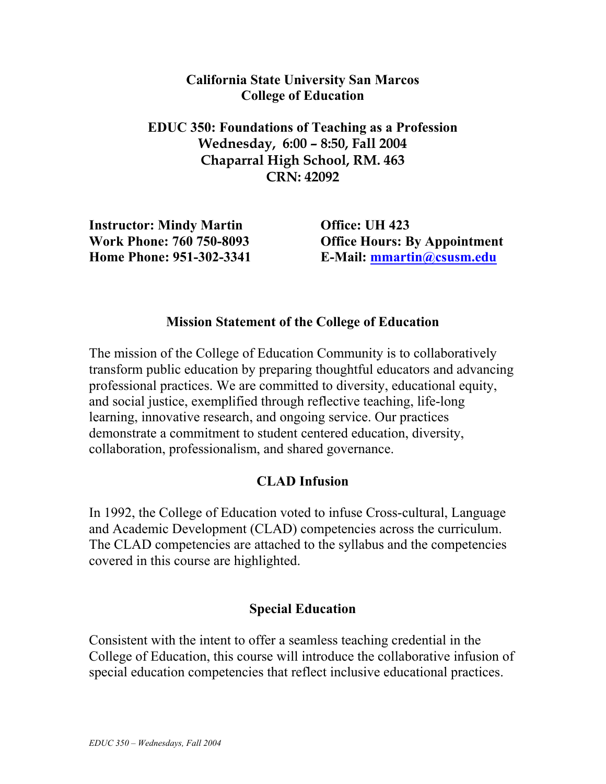#### **California State University San Marcos College of Education**

**EDUC 350: Foundations of Teaching as a Profession Wednesday, 6:00 – 8:50, Fall 2004 Chaparral High School, RM. 463 CRN: 42092** 

**Instructor: Mindy Martin Work Phone: 760 750-8093 Home Phone: 951-302-3341**  **Office: UH 423 Office Hours: By Appointment E-Mail: mmartin@csusm.edu**

## **Mission Statement of the College of Education**

The mission of the College of Education Community is to collaboratively transform public education by preparing thoughtful educators and advancing professional practices. We are committed to diversity, educational equity, and social justice, exemplified through reflective teaching, life-long learning, innovative research, and ongoing service. Our practices demonstrate a commitment to student centered education, diversity, collaboration, professionalism, and shared governance.

# **CLAD Infusion**

In 1992, the College of Education voted to infuse Cross-cultural, Language and Academic Development (CLAD) competencies across the curriculum. The CLAD competencies are attached to the syllabus and the competencies covered in this course are highlighted.

## **Special Education**

Consistent with the intent to offer a seamless teaching credential in the College of Education, this course will introduce the collaborative infusion of special education competencies that reflect inclusive educational practices.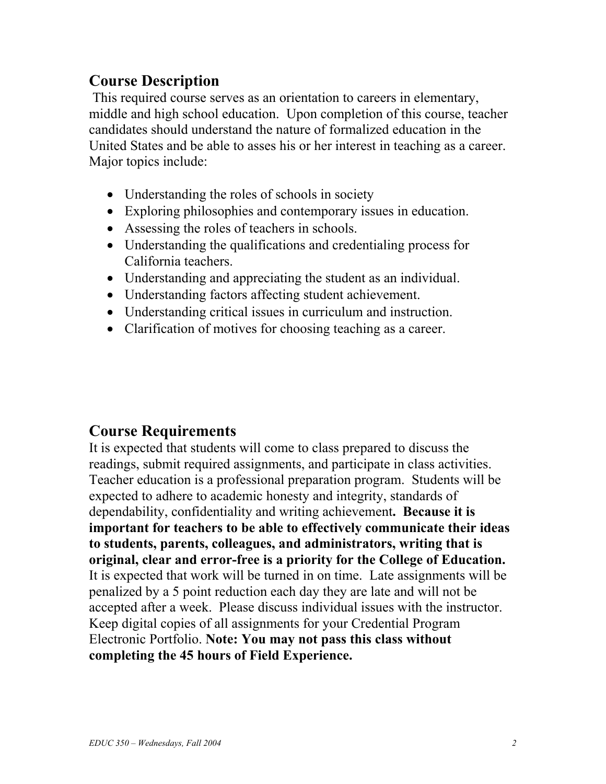# **Course Description**

This required course serves as an orientation to careers in elementary, middle and high school education. Upon completion of this course, teacher candidates should understand the nature of formalized education in the United States and be able to asses his or her interest in teaching as a career. Major topics include:

- Understanding the roles of schools in society
- Exploring philosophies and contemporary issues in education.
- Assessing the roles of teachers in schools.
- Understanding the qualifications and credentialing process for California teachers.
- Understanding and appreciating the student as an individual.
- Understanding factors affecting student achievement.
- Understanding critical issues in curriculum and instruction.
- Clarification of motives for choosing teaching as a career.

# **Course Requirements**

It is expected that students will come to class prepared to discuss the readings, submit required assignments, and participate in class activities. Teacher education is a professional preparation program. Students will be expected to adhere to academic honesty and integrity, standards of dependability, confidentiality and writing achievement**. Because it is important for teachers to be able to effectively communicate their ideas to students, parents, colleagues, and administrators, writing that is original, clear and error-free is a priority for the College of Education.** It is expected that work will be turned in on time. Late assignments will be penalized by a 5 point reduction each day they are late and will not be accepted after a week. Please discuss individual issues with the instructor. Keep digital copies of all assignments for your Credential Program Electronic Portfolio. **Note: You may not pass this class without completing the 45 hours of Field Experience.**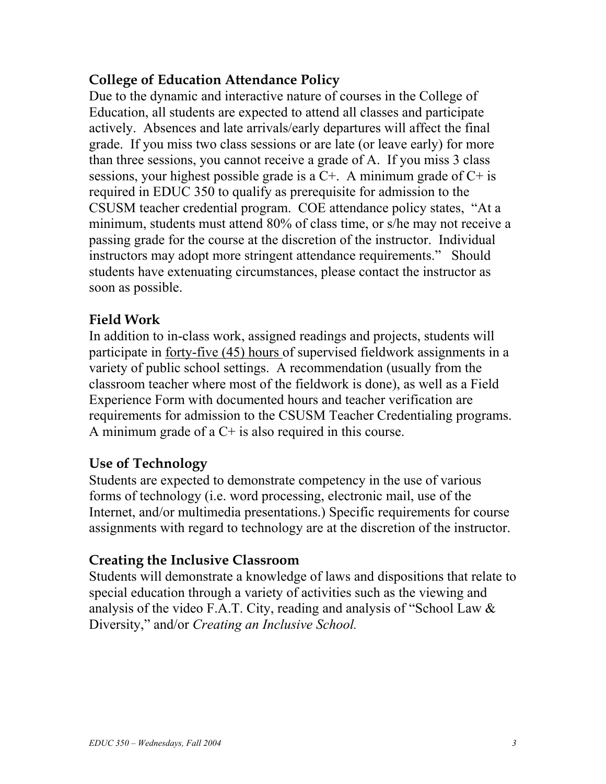# **College of Education Attendance Policy**

Due to the dynamic and interactive nature of courses in the College of Education, all students are expected to attend all classes and participate actively. Absences and late arrivals/early departures will affect the final grade. If you miss two class sessions or are late (or leave early) for more than three sessions, you cannot receive a grade of A. If you miss 3 class sessions, your highest possible grade is a  $C<sup>+</sup>$ . A minimum grade of  $C<sup>+</sup>$  is required in EDUC 350 to qualify as prerequisite for admission to the CSUSM teacher credential program. COE attendance policy states, "At a minimum, students must attend 80% of class time, or s/he may not receive a passing grade for the course at the discretion of the instructor. Individual instructors may adopt more stringent attendance requirements." Should students have extenuating circumstances, please contact the instructor as soon as possible.

# **Field Work**

In addition to in-class work, assigned readings and projects, students will participate in forty-five (45) hours of supervised fieldwork assignments in a variety of public school settings. A recommendation (usually from the classroom teacher where most of the fieldwork is done), as well as a Field Experience Form with documented hours and teacher verification are requirements for admission to the CSUSM Teacher Credentialing programs. A minimum grade of a  $C<sup>+</sup>$  is also required in this course.

## **Use of Technology**

Students are expected to demonstrate competency in the use of various forms of technology (i.e. word processing, electronic mail, use of the Internet, and/or multimedia presentations.) Specific requirements for course assignments with regard to technology are at the discretion of the instructor.

## **Creating the Inclusive Classroom**

Students will demonstrate a knowledge of laws and dispositions that relate to special education through a variety of activities such as the viewing and analysis of the video F.A.T. City, reading and analysis of "School Law & Diversity," and/or *Creating an Inclusive School.*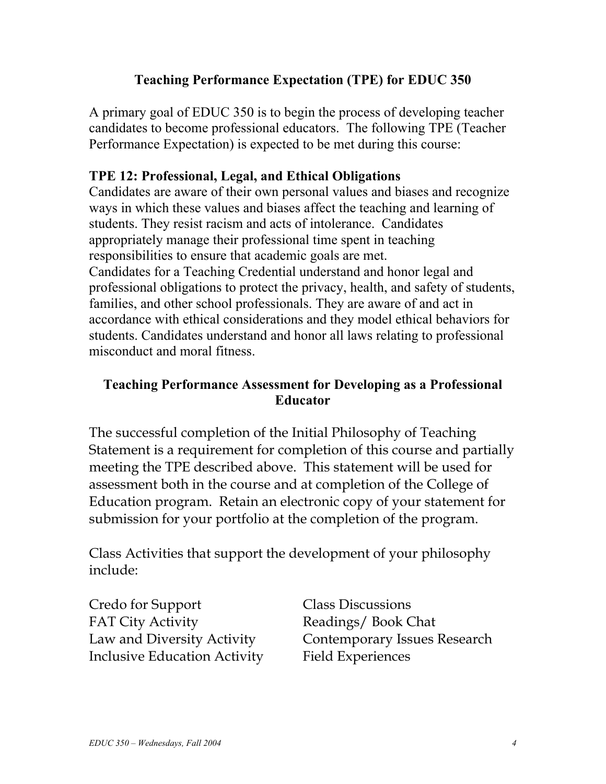# **Teaching Performance Expectation (TPE) for EDUC 350**

A primary goal of EDUC 350 is to begin the process of developing teacher candidates to become professional educators. The following TPE (Teacher Performance Expectation) is expected to be met during this course:

#### **TPE 12: Professional, Legal, and Ethical Obligations**

Candidates are aware of their own personal values and biases and recognize ways in which these values and biases affect the teaching and learning of students. They resist racism and acts of intolerance. Candidates appropriately manage their professional time spent in teaching responsibilities to ensure that academic goals are met. Candidates for a Teaching Credential understand and honor legal and professional obligations to protect the privacy, health, and safety of students, families, and other school professionals. They are aware of and act in accordance with ethical considerations and they model ethical behaviors for students. Candidates understand and honor all laws relating to professional misconduct and moral fitness.

## **Teaching Performance Assessment for Developing as a Professional Educator**

The successful completion of the Initial Philosophy of Teaching Statement is a requirement for completion of this course and partially meeting the TPE described above. This statement will be used for assessment both in the course and at completion of the College of Education program. Retain an electronic copy of your statement for submission for your portfolio at the completion of the program.

Class Activities that support the development of your philosophy include:

Credo for Support Class Discussions FAT City Activity **Readings** / Book Chat Inclusive Education Activity Field Experiences

Law and Diversity Activity Contemporary Issues Research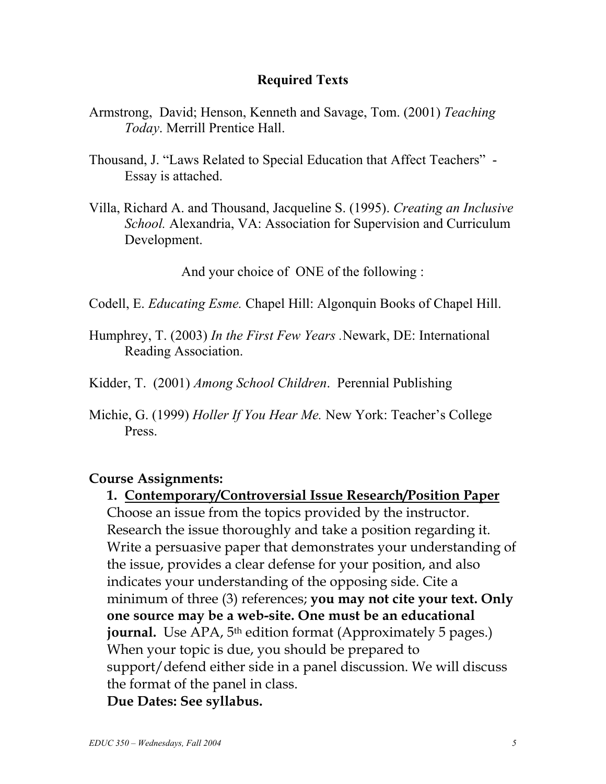#### **Required Texts**

- Armstrong, David; Henson, Kenneth and Savage, Tom. (2001) *Teaching Today*. Merrill Prentice Hall.
- Thousand, J. "Laws Related to Special Education that Affect Teachers" Essay is attached.
- Villa, Richard A. and Thousand, Jacqueline S. (1995). *Creating an Inclusive School.* Alexandria, VA: Association for Supervision and Curriculum Development.

And your choice of ONE of the following :

Codell, E. *Educating Esme.* Chapel Hill: Algonquin Books of Chapel Hill.

- Humphrey, T. (2003) *In the First Few Years .*Newark, DE: International Reading Association.
- Kidder, T. (2001) *Among School Children*. Perennial Publishing
- Michie, G. (1999) *Holler If You Hear Me.* New York: Teacher's College Press.

## **Course Assignments:**

**1. Contemporary/Controversial Issue Research/Position Paper** Choose an issue from the topics provided by the instructor. Research the issue thoroughly and take a position regarding it. Write a persuasive paper that demonstrates your understanding of the issue, provides a clear defense for your position, and also indicates your understanding of the opposing side. Cite a minimum of three (3) references; **you may not cite your text. Only one source may be a web-site. One must be an educational journal.** Use APA, 5<sup>th</sup> edition format (Approximately 5 pages.) When your topic is due, you should be prepared to support/defend either side in a panel discussion. We will discuss the format of the panel in class. **Due Dates: See syllabus.**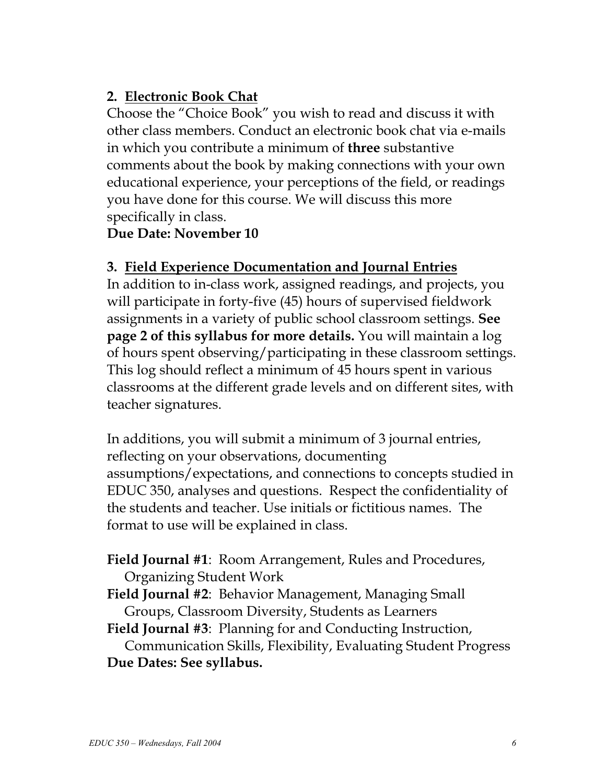# **2. Electronic Book Chat**

Choose the "Choice Book" you wish to read and discuss it with other class members. Conduct an electronic book chat via e-mails in which you contribute a minimum of **three** substantive comments about the book by making connections with your own educational experience, your perceptions of the field, or readings you have done for this course. We will discuss this more specifically in class.

## **Due Date: November 10**

# **3. Field Experience Documentation and Journal Entries**

In addition to in-class work, assigned readings, and projects, you will participate in forty-five (45) hours of supervised fieldwork assignments in a variety of public school classroom settings. **See page 2 of this syllabus for more details.** You will maintain a log of hours spent observing/participating in these classroom settings. This log should reflect a minimum of 45 hours spent in various classrooms at the different grade levels and on different sites, with teacher signatures.

In additions, you will submit a minimum of 3 journal entries, reflecting on your observations, documenting assumptions/expectations, and connections to concepts studied in EDUC 350, analyses and questions.Respect the confidentiality of the students and teacher. Use initials or fictitious names. The format to use will be explained in class.

**Field Journal #1**: Room Arrangement, Rules and Procedures, Organizing Student Work

**Field Journal #2**: Behavior Management, Managing Small Groups, Classroom Diversity, Students as Learners

**Field Journal #3**: Planning for and Conducting Instruction, Communication Skills, Flexibility, Evaluating Student Progress **Due Dates: See syllabus.**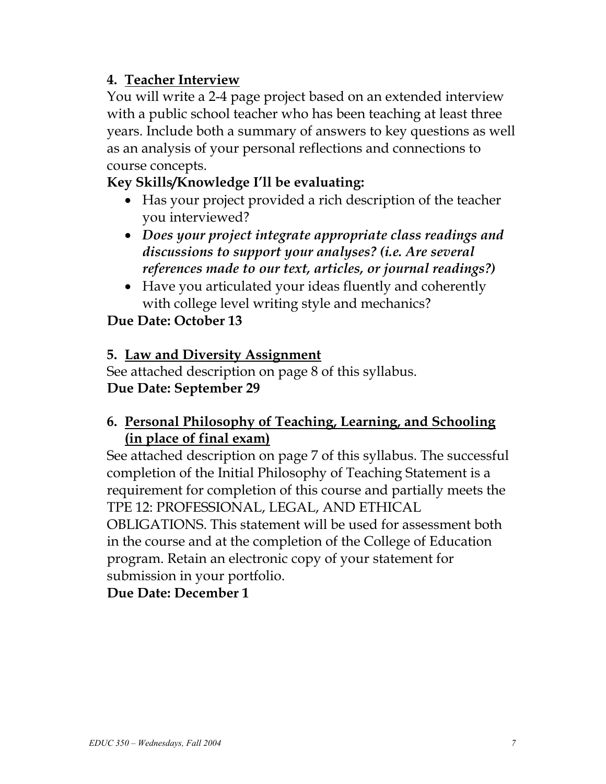# **4. Teacher Interview**

You will write a 2-4 page project based on an extended interview with a public school teacher who has been teaching at least three years. Include both a summary of answers to key questions as well as an analysis of your personal reflections and connections to course concepts.

# **Key Skills/Knowledge I'll be evaluating:**

- Has your project provided a rich description of the teacher you interviewed?
- *Does your project integrate appropriate class readings and discussions to support your analyses? (i.e. Are several references made to our text, articles, or journal readings?)*
- Have you articulated your ideas fluently and coherently with college level writing style and mechanics?

# **Due Date: October 13**

# **5. Law and Diversity Assignment**

See attached description on page 8 of this syllabus. **Due Date: September 29** 

# **6. Personal Philosophy of Teaching, Learning, and Schooling (in place of final exam)**

See attached description on page 7 of this syllabus. The successful completion of the Initial Philosophy of Teaching Statement is a requirement for completion of this course and partially meets the TPE 12: PROFESSIONAL, LEGAL, AND ETHICAL OBLIGATIONS. This statement will be used for assessment both in the course and at the completion of the College of Education program. Retain an electronic copy of your statement for submission in your portfolio.

## **Due Date: December 1**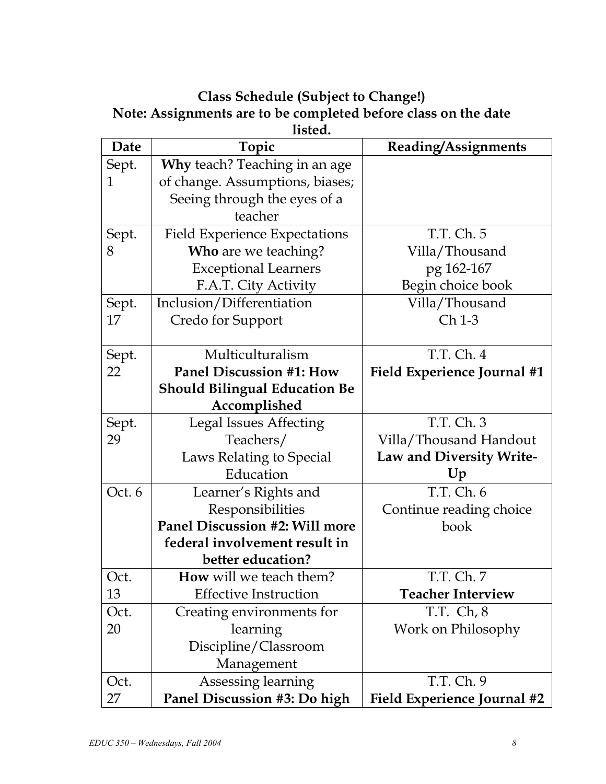# **Class Schedule (Subject to Change!) Note: Assignments are to be completed before class on the date listed.**

| Date   | Topic                                | Reading/Assignments                |
|--------|--------------------------------------|------------------------------------|
| Sept.  | Why teach? Teaching in an age        |                                    |
| 1      | of change. Assumptions, biases;      |                                    |
|        | Seeing through the eyes of a         |                                    |
|        | teacher                              |                                    |
| Sept.  | <b>Field Experience Expectations</b> | T.T. Ch. 5                         |
| 8      | Who are we teaching?                 | Villa/Thousand                     |
|        | <b>Exceptional Learners</b>          | pg 162-167                         |
|        | F.A.T. City Activity                 | Begin choice book                  |
| Sept.  | Inclusion/Differentiation            | Villa/Thousand                     |
| 17     | Credo for Support                    | Ch 1-3                             |
|        |                                      |                                    |
| Sept.  | Multiculturalism                     | T.T. Ch. 4                         |
| 22     | <b>Panel Discussion #1: How</b>      | <b>Field Experience Journal #1</b> |
|        | <b>Should Bilingual Education Be</b> |                                    |
|        | Accomplished                         |                                    |
| Sept.  | <b>Legal Issues Affecting</b>        | T.T. Ch. 3                         |
| 29     | Teachers/                            | Villa/Thousand Handout             |
|        | Laws Relating to Special             | Law and Diversity Write-           |
|        | Education                            | Up                                 |
| Oct. 6 | Learner's Rights and                 | T.T. Ch. 6                         |
|        | Responsibilities                     | Continue reading choice            |
|        | Panel Discussion #2: Will more       | book                               |
|        | federal involvement result in        |                                    |
|        | better education?                    |                                    |
| Oct.   | <b>How</b> will we teach them?       | T.T. Ch. 7                         |
| 13     | <b>Effective Instruction</b>         | <b>Teacher Interview</b>           |
| Oct.   | Creating environments for            | T.T. Ch, 8                         |
| 20     | learning                             | Work on Philosophy                 |
|        | Discipline/Classroom                 |                                    |
|        | Management                           |                                    |
| Oct.   | Assessing learning                   | T.T. Ch. 9                         |
| 27     | Panel Discussion #3: Do high         | <b>Field Experience Journal #2</b> |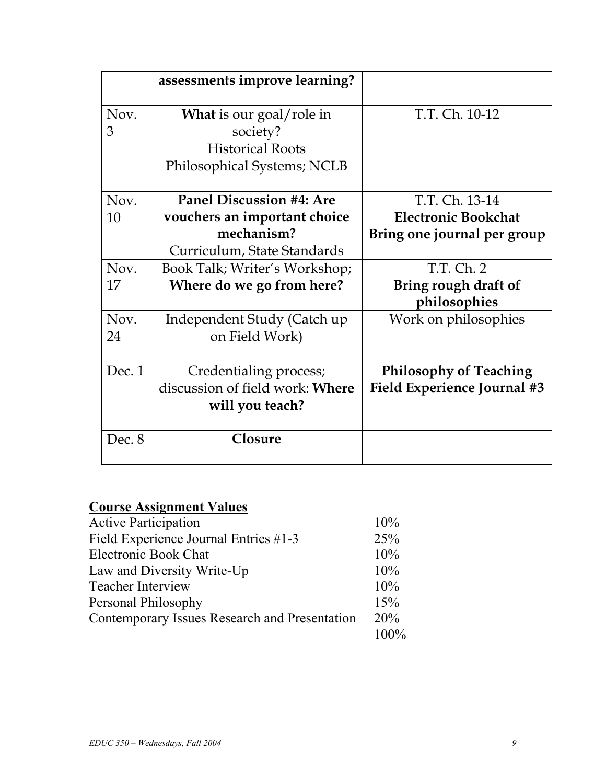|        | assessments improve learning?   |                                    |
|--------|---------------------------------|------------------------------------|
| Nov.   | <b>What</b> is our goal/role in | T.T. Ch. 10-12                     |
| 3      | society?                        |                                    |
|        | <b>Historical Roots</b>         |                                    |
|        | Philosophical Systems; NCLB     |                                    |
| Nov.   | <b>Panel Discussion #4: Are</b> | T.T. Ch. 13-14                     |
| 10     | vouchers an important choice    | <b>Electronic Bookchat</b>         |
|        | mechanism?                      | Bring one journal per group        |
|        | Curriculum, State Standards     |                                    |
| Nov.   | Book Talk; Writer's Workshop;   | T.T. Ch. 2                         |
| 17     | Where do we go from here?       | Bring rough draft of               |
|        |                                 | philosophies                       |
| Nov.   | Independent Study (Catch up     | Work on philosophies               |
| 24     | on Field Work)                  |                                    |
| Dec.1  | Credentialing process;          | <b>Philosophy of Teaching</b>      |
|        | discussion of field work: Where | <b>Field Experience Journal #3</b> |
|        | will you teach?                 |                                    |
| Dec. 8 | Closure                         |                                    |

# **Course Assignment Values**

| <b>Active Participation</b>                   | 10%  |
|-----------------------------------------------|------|
| Field Experience Journal Entries #1-3         | 25%  |
| <b>Electronic Book Chat</b>                   | 10%  |
| Law and Diversity Write-Up                    | 10%  |
| <b>Teacher Interview</b>                      | 10%  |
| Personal Philosophy                           | 15%  |
| Contemporary Issues Research and Presentation |      |
|                                               | 100% |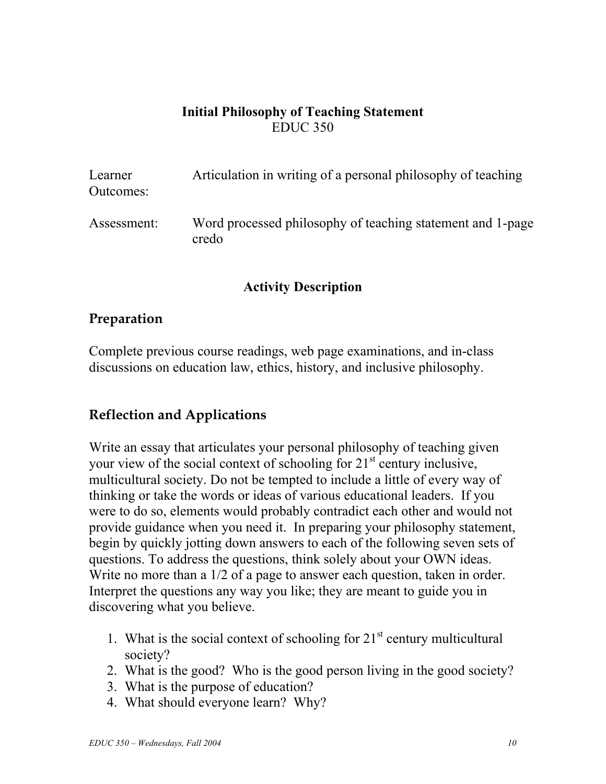# **Initial Philosophy of Teaching Statement**  EDUC 350

| Learner<br>Outcomes: | Articulation in writing of a personal philosophy of teaching        |
|----------------------|---------------------------------------------------------------------|
| Assessment:          | Word processed philosophy of teaching statement and 1-page<br>credo |

#### **Activity Description**

## **Preparation**

Complete previous course readings, web page examinations, and in-class discussions on education law, ethics, history, and inclusive philosophy.

## **Reflection and Applications**

Write an essay that articulates your personal philosophy of teaching given your view of the social context of schooling for  $21<sup>st</sup>$  century inclusive, multicultural society. Do not be tempted to include a little of every way of thinking or take the words or ideas of various educational leaders. If you were to do so, elements would probably contradict each other and would not provide guidance when you need it. In preparing your philosophy statement, begin by quickly jotting down answers to each of the following seven sets of questions. To address the questions, think solely about your OWN ideas. Write no more than a 1/2 of a page to answer each question, taken in order. Interpret the questions any way you like; they are meant to guide you in discovering what you believe.

- 1. What is the social context of schooling for  $21<sup>st</sup>$  century multicultural society?
- 2. What is the good? Who is the good person living in the good society?
- 3. What is the purpose of education?
- 4. What should everyone learn? Why?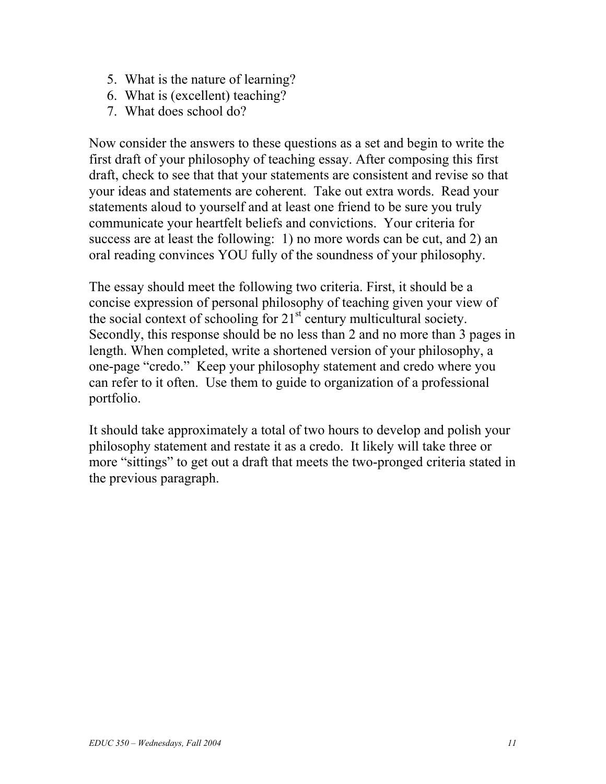- 5. What is the nature of learning?
- 6. What is (excellent) teaching?
- 7. What does school do?

Now consider the answers to these questions as a set and begin to write the first draft of your philosophy of teaching essay. After composing this first draft, check to see that that your statements are consistent and revise so that your ideas and statements are coherent. Take out extra words. Read your statements aloud to yourself and at least one friend to be sure you truly communicate your heartfelt beliefs and convictions. Your criteria for success are at least the following: 1) no more words can be cut, and 2) an oral reading convinces YOU fully of the soundness of your philosophy.

The essay should meet the following two criteria. First, it should be a concise expression of personal philosophy of teaching given your view of the social context of schooling for  $21<sup>st</sup>$  century multicultural society. Secondly, this response should be no less than 2 and no more than 3 pages in length. When completed, write a shortened version of your philosophy, a one-page "credo." Keep your philosophy statement and credo where you can refer to it often. Use them to guide to organization of a professional portfolio.

It should take approximately a total of two hours to develop and polish your philosophy statement and restate it as a credo. It likely will take three or more "sittings" to get out a draft that meets the two-pronged criteria stated in the previous paragraph.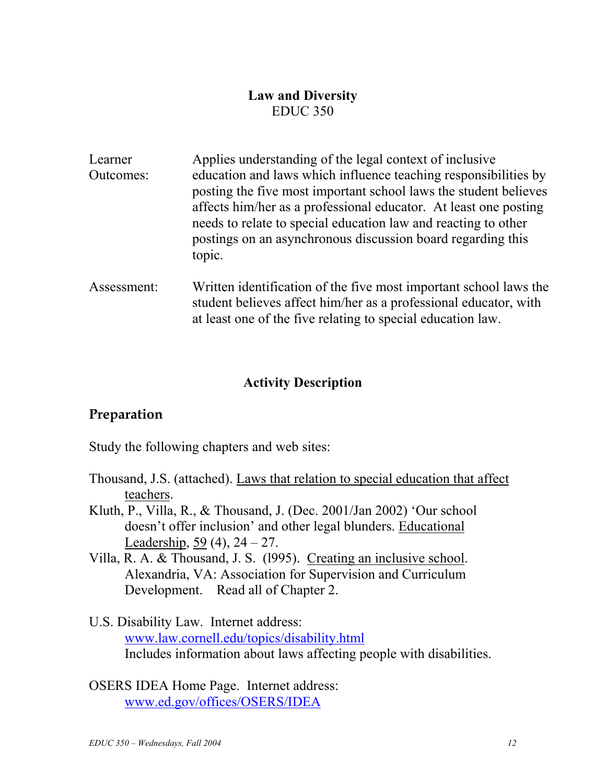#### **Law and Diversity**  EDUC 350

| Learner   | Applies understanding of the legal context of inclusive                                                                                                                                                     |
|-----------|-------------------------------------------------------------------------------------------------------------------------------------------------------------------------------------------------------------|
| Outcomes: | education and laws which influence teaching responsibilities by<br>posting the five most important school laws the student believes                                                                         |
|           | affects him/her as a professional educator. At least one posting<br>needs to relate to special education law and reacting to other<br>postings on an asynchronous discussion board regarding this<br>topic. |
|           |                                                                                                                                                                                                             |

Assessment: Written identification of the five most important school laws the student believes affect him/her as a professional educator, with at least one of the five relating to special education law.

## **Activity Description**

## **Preparation**

Study the following chapters and web sites:

- Thousand, J.S. (attached). Laws that relation to special education that affect teachers.
- Kluth, P., Villa, R., & Thousand, J. (Dec. 2001/Jan 2002) 'Our school doesn't offer inclusion' and other legal blunders. Educational Leadership,  $59(4)$ ,  $24 - 27$ .
- Villa, R. A. & Thousand, J. S. (l995). Creating an inclusive school. Alexandria, VA: Association for Supervision and Curriculum Development. Read all of Chapter 2.
- U.S. Disability Law. Internet address: www.law.cornell.edu/topics/disability.html Includes information about laws affecting people with disabilities.
- OSERS IDEA Home Page. Internet address: www.ed.gov/offices/OSERS/IDEA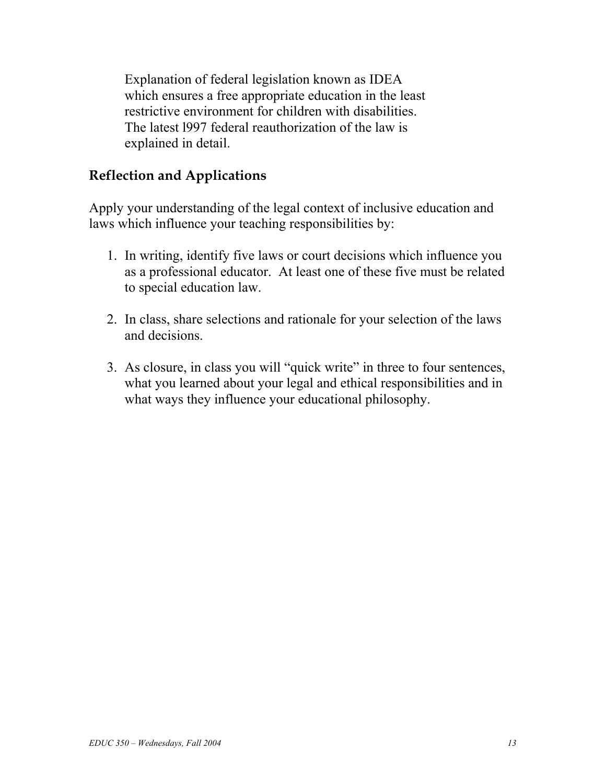Explanation of federal legislation known as IDEA which ensures a free appropriate education in the least restrictive environment for children with disabilities. The latest l997 federal reauthorization of the law is explained in detail.

# **Reflection and Applications**

Apply your understanding of the legal context of inclusive education and laws which influence your teaching responsibilities by:

- 1. In writing, identify five laws or court decisions which influence you as a professional educator. At least one of these five must be related to special education law.
- 2. In class, share selections and rationale for your selection of the laws and decisions.
- 3. As closure, in class you will "quick write" in three to four sentences, what you learned about your legal and ethical responsibilities and in what ways they influence your educational philosophy.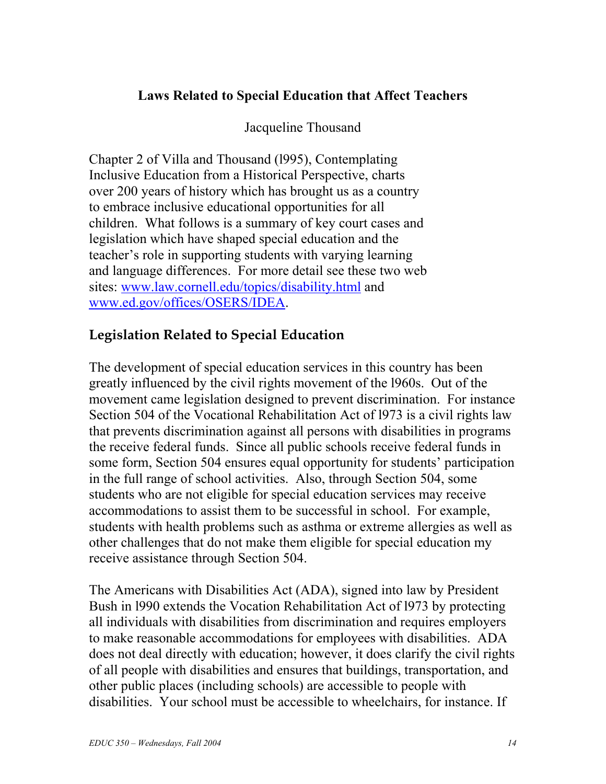# **Laws Related to Special Education that Affect Teachers**

Jacqueline Thousand

Chapter 2 of Villa and Thousand (l995), Contemplating Inclusive Education from a Historical Perspective, charts over 200 years of history which has brought us as a country to embrace inclusive educational opportunities for all children. What follows is a summary of key court cases and legislation which have shaped special education and the teacher's role in supporting students with varying learning and language differences. For more detail see these two web sites: www.law.cornell.edu/topics/disability.html and www.ed.gov/offices/OSERS/IDEA.

# **Legislation Related to Special Education**

The development of special education services in this country has been greatly influenced by the civil rights movement of the l960s. Out of the movement came legislation designed to prevent discrimination. For instance Section 504 of the Vocational Rehabilitation Act of l973 is a civil rights law that prevents discrimination against all persons with disabilities in programs the receive federal funds. Since all public schools receive federal funds in some form, Section 504 ensures equal opportunity for students' participation in the full range of school activities. Also, through Section 504, some students who are not eligible for special education services may receive accommodations to assist them to be successful in school. For example, students with health problems such as asthma or extreme allergies as well as other challenges that do not make them eligible for special education my receive assistance through Section 504.

The Americans with Disabilities Act (ADA), signed into law by President Bush in l990 extends the Vocation Rehabilitation Act of l973 by protecting all individuals with disabilities from discrimination and requires employers to make reasonable accommodations for employees with disabilities. ADA does not deal directly with education; however, it does clarify the civil rights of all people with disabilities and ensures that buildings, transportation, and other public places (including schools) are accessible to people with disabilities. Your school must be accessible to wheelchairs, for instance. If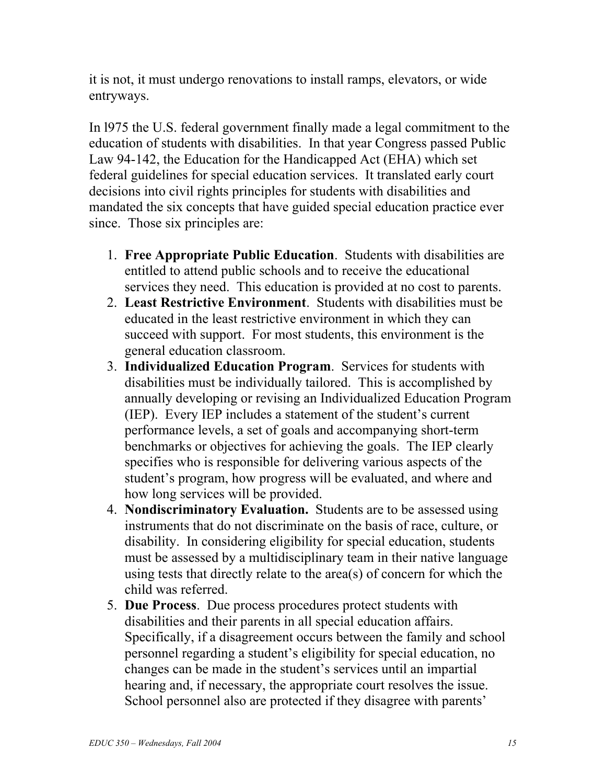it is not, it must undergo renovations to install ramps, elevators, or wide entryways.

In l975 the U.S. federal government finally made a legal commitment to the education of students with disabilities. In that year Congress passed Public Law 94-142, the Education for the Handicapped Act (EHA) which set federal guidelines for special education services. It translated early court decisions into civil rights principles for students with disabilities and mandated the six concepts that have guided special education practice ever since. Those six principles are:

- 1. **Free Appropriate Public Education**. Students with disabilities are entitled to attend public schools and to receive the educational services they need. This education is provided at no cost to parents.
- 2. **Least Restrictive Environment**. Students with disabilities must be educated in the least restrictive environment in which they can succeed with support. For most students, this environment is the general education classroom.
- 3. **Individualized Education Program**. Services for students with disabilities must be individually tailored. This is accomplished by annually developing or revising an Individualized Education Program (IEP). Every IEP includes a statement of the student's current performance levels, a set of goals and accompanying short-term benchmarks or objectives for achieving the goals. The IEP clearly specifies who is responsible for delivering various aspects of the student's program, how progress will be evaluated, and where and how long services will be provided.
- 4. **Nondiscriminatory Evaluation.** Students are to be assessed using instruments that do not discriminate on the basis of race, culture, or disability. In considering eligibility for special education, students must be assessed by a multidisciplinary team in their native language using tests that directly relate to the area(s) of concern for which the child was referred.
- 5. **Due Process**. Due process procedures protect students with disabilities and their parents in all special education affairs. Specifically, if a disagreement occurs between the family and school personnel regarding a student's eligibility for special education, no changes can be made in the student's services until an impartial hearing and, if necessary, the appropriate court resolves the issue. School personnel also are protected if they disagree with parents'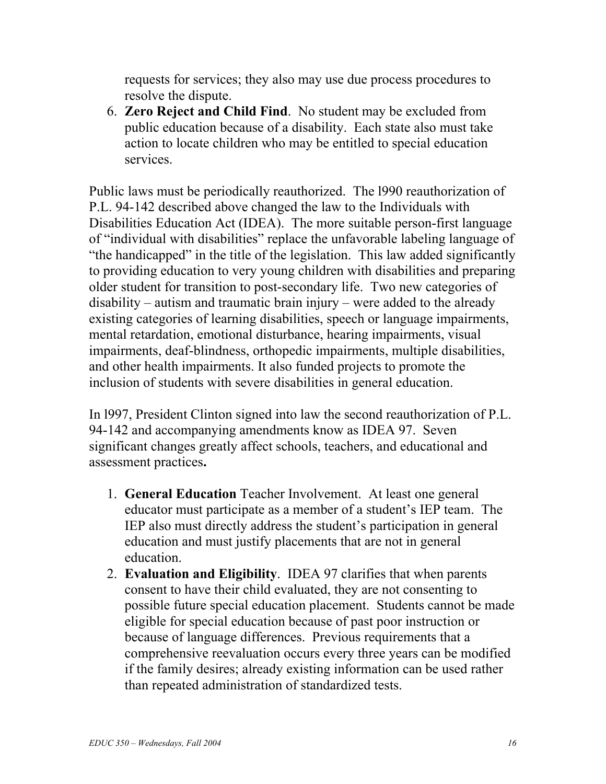requests for services; they also may use due process procedures to resolve the dispute.

6. **Zero Reject and Child Find**. No student may be excluded from public education because of a disability. Each state also must take action to locate children who may be entitled to special education services.

Public laws must be periodically reauthorized. The l990 reauthorization of P.L. 94-142 described above changed the law to the Individuals with Disabilities Education Act (IDEA). The more suitable person-first language of "individual with disabilities" replace the unfavorable labeling language of "the handicapped" in the title of the legislation. This law added significantly to providing education to very young children with disabilities and preparing older student for transition to post-secondary life. Two new categories of disability – autism and traumatic brain injury – were added to the already existing categories of learning disabilities, speech or language impairments, mental retardation, emotional disturbance, hearing impairments, visual impairments, deaf-blindness, orthopedic impairments, multiple disabilities, and other health impairments. It also funded projects to promote the inclusion of students with severe disabilities in general education.

In l997, President Clinton signed into law the second reauthorization of P.L. 94-142 and accompanying amendments know as IDEA 97. Seven significant changes greatly affect schools, teachers, and educational and assessment practices**.** 

- 1. **General Education** Teacher Involvement. At least one general educator must participate as a member of a student's IEP team. The IEP also must directly address the student's participation in general education and must justify placements that are not in general education.
- 2. **Evaluation and Eligibility**. IDEA 97 clarifies that when parents consent to have their child evaluated, they are not consenting to possible future special education placement. Students cannot be made eligible for special education because of past poor instruction or because of language differences. Previous requirements that a comprehensive reevaluation occurs every three years can be modified if the family desires; already existing information can be used rather than repeated administration of standardized tests.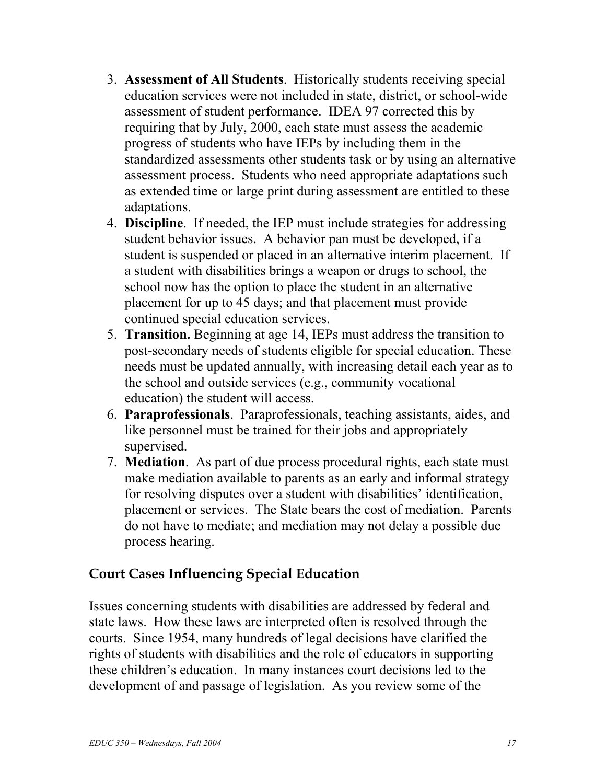- 3. **Assessment of All Students**. Historically students receiving special education services were not included in state, district, or school-wide assessment of student performance. IDEA 97 corrected this by requiring that by July, 2000, each state must assess the academic progress of students who have IEPs by including them in the standardized assessments other students task or by using an alternative assessment process. Students who need appropriate adaptations such as extended time or large print during assessment are entitled to these adaptations.
- 4. **Discipline**. If needed, the IEP must include strategies for addressing student behavior issues. A behavior pan must be developed, if a student is suspended or placed in an alternative interim placement. If a student with disabilities brings a weapon or drugs to school, the school now has the option to place the student in an alternative placement for up to 45 days; and that placement must provide continued special education services.
- 5. **Transition.** Beginning at age 14, IEPs must address the transition to post-secondary needs of students eligible for special education. These needs must be updated annually, with increasing detail each year as to the school and outside services (e.g., community vocational education) the student will access.
- 6. **Paraprofessionals**. Paraprofessionals, teaching assistants, aides, and like personnel must be trained for their jobs and appropriately supervised.
- 7. **Mediation**. As part of due process procedural rights, each state must make mediation available to parents as an early and informal strategy for resolving disputes over a student with disabilities' identification, placement or services. The State bears the cost of mediation. Parents do not have to mediate; and mediation may not delay a possible due process hearing.

## **Court Cases Influencing Special Education**

Issues concerning students with disabilities are addressed by federal and state laws. How these laws are interpreted often is resolved through the courts. Since 1954, many hundreds of legal decisions have clarified the rights of students with disabilities and the role of educators in supporting these children's education. In many instances court decisions led to the development of and passage of legislation. As you review some of the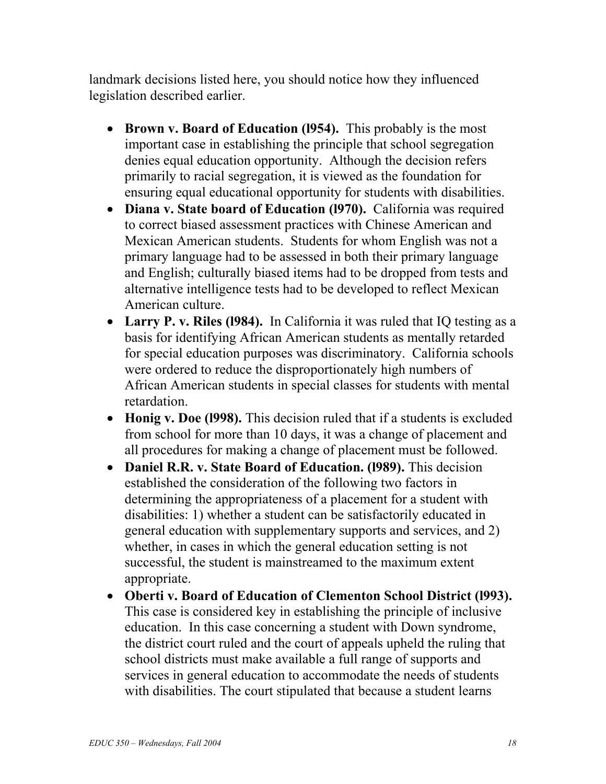landmark decisions listed here, you should notice how they influenced legislation described earlier.

- **Brown v. Board of Education (l954).** This probably is the most important case in establishing the principle that school segregation denies equal education opportunity. Although the decision refers primarily to racial segregation, it is viewed as the foundation for ensuring equal educational opportunity for students with disabilities.
- **Diana v. State board of Education (l970).** California was required to correct biased assessment practices with Chinese American and Mexican American students. Students for whom English was not a primary language had to be assessed in both their primary language and English; culturally biased items had to be dropped from tests and alternative intelligence tests had to be developed to reflect Mexican American culture.
- **Larry P. v. Riles (1984).** In California it was ruled that IQ testing as a basis for identifying African American students as mentally retarded for special education purposes was discriminatory. California schools were ordered to reduce the disproportionately high numbers of African American students in special classes for students with mental retardation.
- **Honig v. Doe (l998).** This decision ruled that if a students is excluded from school for more than 10 days, it was a change of placement and all procedures for making a change of placement must be followed.
- **Daniel R.R. v. State Board of Education. (l989).** This decision established the consideration of the following two factors in determining the appropriateness of a placement for a student with disabilities: 1) whether a student can be satisfactorily educated in general education with supplementary supports and services, and 2) whether, in cases in which the general education setting is not successful, the student is mainstreamed to the maximum extent appropriate.
- **Oberti v. Board of Education of Clementon School District (l993).** This case is considered key in establishing the principle of inclusive education. In this case concerning a student with Down syndrome, the district court ruled and the court of appeals upheld the ruling that school districts must make available a full range of supports and services in general education to accommodate the needs of students with disabilities. The court stipulated that because a student learns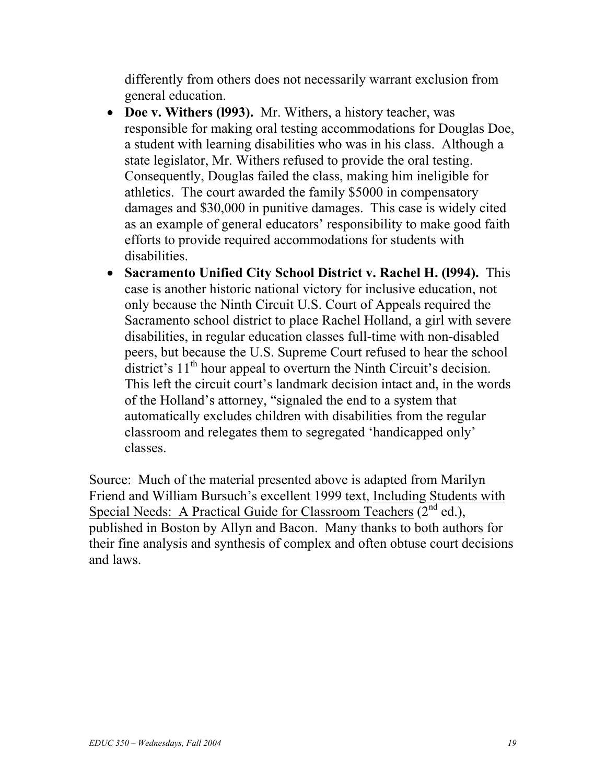differently from others does not necessarily warrant exclusion from general education.

- **Doe v. Withers (l993).** Mr. Withers, a history teacher, was responsible for making oral testing accommodations for Douglas Doe, a student with learning disabilities who was in his class. Although a state legislator, Mr. Withers refused to provide the oral testing. Consequently, Douglas failed the class, making him ineligible for athletics. The court awarded the family \$5000 in compensatory damages and \$30,000 in punitive damages. This case is widely cited as an example of general educators' responsibility to make good faith efforts to provide required accommodations for students with disabilities.
- **Sacramento Unified City School District v. Rachel H. (l994).** This case is another historic national victory for inclusive education, not only because the Ninth Circuit U.S. Court of Appeals required the Sacramento school district to place Rachel Holland, a girl with severe disabilities, in regular education classes full-time with non-disabled peers, but because the U.S. Supreme Court refused to hear the school district's  $11<sup>th</sup>$  hour appeal to overturn the Ninth Circuit's decision. This left the circuit court's landmark decision intact and, in the words of the Holland's attorney, "signaled the end to a system that automatically excludes children with disabilities from the regular classroom and relegates them to segregated 'handicapped only' classes.

Source: Much of the material presented above is adapted from Marilyn Friend and William Bursuch's excellent 1999 text, Including Students with Special Needs: A Practical Guide for Classroom Teachers  $(2^{nd}$  ed.), published in Boston by Allyn and Bacon. Many thanks to both authors for their fine analysis and synthesis of complex and often obtuse court decisions and laws.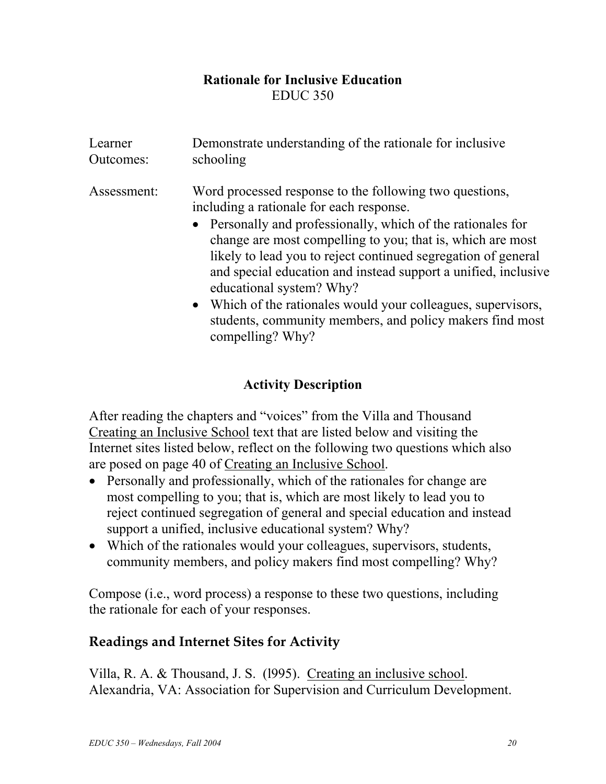## **Rationale for Inclusive Education**  EDUC 350

| Learner     | Demonstrate understanding of the rationale for inclusive                                                                                                                                                                                                                                                                                                                                                                                                                                                                                          |
|-------------|---------------------------------------------------------------------------------------------------------------------------------------------------------------------------------------------------------------------------------------------------------------------------------------------------------------------------------------------------------------------------------------------------------------------------------------------------------------------------------------------------------------------------------------------------|
| Outcomes:   | schooling                                                                                                                                                                                                                                                                                                                                                                                                                                                                                                                                         |
| Assessment: | Word processed response to the following two questions,<br>including a rationale for each response.<br>• Personally and professionally, which of the rationales for<br>change are most compelling to you; that is, which are most<br>likely to lead you to reject continued segregation of general<br>and special education and instead support a unified, inclusive<br>educational system? Why?<br>• Which of the rationales would your colleagues, supervisors,<br>students, community members, and policy makers find most<br>compelling? Why? |

## **Activity Description**

After reading the chapters and "voices" from the Villa and Thousand Creating an Inclusive School text that are listed below and visiting the Internet sites listed below, reflect on the following two questions which also are posed on page 40 of Creating an Inclusive School.

- Personally and professionally, which of the rationales for change are most compelling to you; that is, which are most likely to lead you to reject continued segregation of general and special education and instead support a unified, inclusive educational system? Why?
- Which of the rationales would your colleagues, supervisors, students, community members, and policy makers find most compelling? Why?

Compose (i.e., word process) a response to these two questions, including the rationale for each of your responses.

# **Readings and Internet Sites for Activity**

Villa, R. A. & Thousand, J. S. (l995). Creating an inclusive school. Alexandria, VA: Association for Supervision and Curriculum Development.